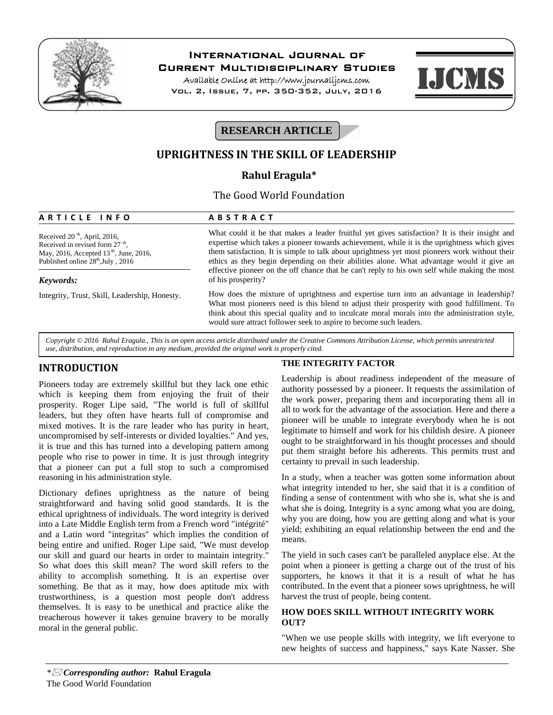

# **International Journal of**

**Current Multidisciplinary Studies**

**Available Online at http://www.journalijcms.com** Vol. 2, Issue, 7, pp. 350-352, July, 2016



# **RESEARCH ARTICLE**

# **UPRIGHTNESS IN THE SKILL OF LEADERSHIP**

# **Rahul Eragula\***

# The Good World Foundation **A R T I C L E I N F O**<br> **A B S T R A C T**<br> **A** B S T R A C T<br> **A** B S T R A C T<br> **A** B S T R A C T<br>
What could it be that makes a leader fr

Received  $20<sup>th</sup>$ , April, 2016, Received in revised form  $27<sup>th</sup>$ , , May, 2016, Accepted 13<sup>th</sup>, June, 2016, Published online  $28<sup>th</sup>$ , July, 2016

## *Keywords:*

Integrity, Trust, Skill, Leadership, Honesty.

What could it be that makes a leader fruitful yet gives satisfaction? It is their insight and expertise which takes a pioneer towards achievement, while it is the uprightness which gives them satisfaction. It is simple to talk about uprightness yet most pioneers work without their ethics as they begin depending on their abilities alone. What advantage would it give an effective pioneer on the off chance that he can't reply to his own self while making the most of his prosperity?

How does the mixture of uprightness and expertise turn into an advantage in leadership? What most pioneers need is this blend to adjust their prosperity with good fulfillment. To think about this special quality and to inculcate moral morals into the administration style, would sure attract follower seek to aspire to become such leaders.

*Copyright © 2016 Rahul Eragula., This is an open access article distributed under the Creative Commons Attribution License, which permits unrestricted use, distribution, and reproduction in any medium, provided the original work is properly cited.*

# **INTRODUCTION**

Pioneers today are extremely skillful but they lack one ethic which is keeping them from enjoying the fruit of their prosperity. Roger Lipe said, "The world is full of skillful leaders, but they often have hearts full of compromise and mixed motives. It is the rare leader who has purity in heart, uncompromised by self-interests or divided loyalties." And yes, it is true and this has turned into a developing pattern among people who rise to power in time. It is just through integrity that a pioneer can put a full stop to such a compromised reasoning in his administration style.

Dictionary defines uprightness as the nature of being straightforward and having solid good standards. It is the ethical uprightness of individuals. The word integrity is derived into a Late Middle English term from a French word "intégrité" and a Latin word "integritas" which implies the condition of being entire and unified. Roger Lipe said, "We must develop our skill and guard our hearts in order to maintain integrity." So what does this skill mean? The word skill refers to the ability to accomplish something. It is an expertise over something. Be that as it may, how does aptitude mix with trustworthiness, is a question most people don't address themselves. It is easy to be unethical and practice alike the treacherous however it takes genuine bravery to be morally moral in the general public.

## **THE INTEGRITY FACTOR**

Leadership is about readiness independent of the measure of authority possessed by a pioneer. It requests the assimilation of the work power, preparing them and incorporating them all in all to work for the advantage of the association. Here and there a pioneer will be unable to integrate everybody when he is not legitimate to himself and work for his childish desire. A pioneer ought to be straightforward in his thought processes and should put them straight before his adherents. This permits trust and certainty to prevail in such leadership.

In a study, when a teacher was gotten some information about what integrity intended to her, she said that it is a condition of finding a sense of contentment with who she is, what she is and what she is doing. Integrity is a sync among what you are doing, why you are doing, how you are getting along and what is your yield; exhibiting an equal relationship between the end and the means.

The yield in such cases can't be paralleled anyplace else. At the point when a pioneer is getting a charge out of the trust of his supporters, he knows it that it is a result of what he has contributed. In the event that a pioneer sows uprightness, he will harvest the trust of people, being content.

## **HOW DOES SKILL WITHOUT INTEGRITY WORK OUT?**

"When we use people skills with integrity, we lift everyone to new heights of success and happiness," says Kate Nasser. She

*\* Corresponding author:* **Rahul Eragula** The Good World Foundation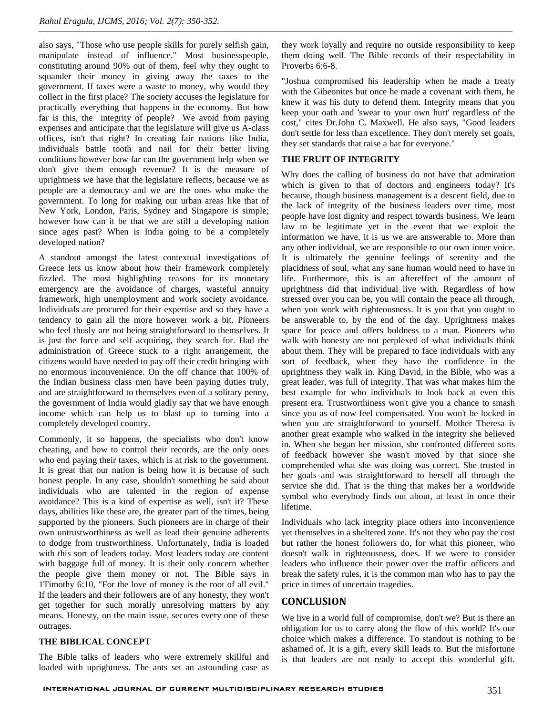also says, "Those who use people skills for purely selfish gain, manipulate instead of influence." Most businesspeople, constituting around 90% out of them, feel why they ought to squander their money in giving away the taxes to the government. If taxes were a waste to money, why would they collect in the first place? The society accuses the legislature for practically everything that happens in the economy. But how far is this, the integrity of people? We avoid from paying expenses and anticipate that the legislature will give us A-class offices, isn't that right? In creating fair nations like India, individuals battle tooth and nail for their better living conditions however how far can the government help when we don't give them enough revenue? It is the measure of uprightness we have that the legislature reflects, because we as people are a democracy and we are the ones who make the government. To long for making our urban areas like that of New York, London, Paris, Sydney and Singapore is simple; however how can it be that we are still a developing nation since ages past? When is India going to be a completely developed nation?

A standout amongst the latest contextual investigations of Greece lets us know about how their framework completely fizzled. The most highlighting reasons for its monetary emergency are the avoidance of charges, wasteful annuity framework, high unemployment and work society avoidance. Individuals are procured for their expertise and so they have a tendency to gain all the more however work a bit. Pioneers who feel thusly are not being straightforward to themselves. It is just the force and self acquiring, they search for.Had the administration of Greece stuck to a right arrangement, the citizens would have needed to pay off their credit bringing with no enormous inconvenience. On the off chance that 100% of the Indian business class men have been paying duties truly, and are straightforward to themselves even of a solitary penny, the government of India would gladly say that we have enough income which can help us to blast up to turning into a completely developed country.

Commonly, it so happens, the specialists who don't know cheating, and how to control their records, are the only ones who end paying their taxes, which is at risk to the government. It is great that our nation is being how it is because of such honest people. In any case, shouldn't something be said about individuals who are talented in the region of expense avoidance? This is a kind of expertise as well, isn't it? These days, abilities like these are, the greater part of the times, being supported by the pioneers. Such pioneers are in charge of their own untrustworthiness as well as lead their genuine adherents to dodge from trustworthiness. Unfortunately, India is loaded with this sort of leaders today. Most leaders today are content with baggage full of money. It is their only concern whether the people give them money or not. The Bible says in 1Timothy 6:10, "For the love of money is the root of all evil." If the leaders and their followers are of any honesty, they won't get together for such morally unresolving matters by any means. Honesty, on the main issue, secures every one of these outrages.

## **THE BIBLICAL CONCEPT**

The Bible talks of leaders who were extremely skillful and loaded with uprightness. The ants set an astounding case as

they work loyally and require no outside responsibility to keep them doing well. The Bible records of their respectability in Proverbs 6:6-8.

"Joshua compromised his leadership when he made a treaty with the Gibeonites but once he made a covenant with them, he knew it was his duty to defend them. Integrity means that you keep your oath and 'swear to your own hurt' regardless of the cost," cites Dr.John C. Maxwell. He also says, "Good leaders don't settle for less than excellence. They don't merely set goals, they set standards that raise a bar for everyone."

#### **THE FRUIT OF INTEGRITY**

Why does the calling of business do not have that admiration which is given to that of doctors and engineers today? It's because, though business management is a descent field, due to the lack of integrity of the business leaders over time, most people have lost dignity and respect towards business. We learn law to be legitimate yet in the event that we exploit the information we have, it is us we are answerable to. More than any other individual, we are responsible to our own inner voice. It is ultimately the genuine feelings of serenity and the placidness of soul, what any sane human would need to have in life. Furthermore, this is an aftereffect of the amount of uprightness did that individual live with. Regardless of how stressed over you can be, you will contain the peace all through, when you work with righteousness. It is you that you ought to be answerable to, by the end of the day. Uprightness makes space for peace and offers boldness to a man. Pioneers who walk with honesty are not perplexed of what individuals think about them. They will be prepared to face individuals with any sort of feedback, when they have the confidence in the uprightness they walk in. King David, in the Bible, who was a great leader, was full of integrity. That was what makes him the best example for who individuals to look back at even this present era. Trustworthiness won't give you a chance to smash since you as of now feel compensated. You won't be locked in when you are straightforward to yourself. Mother Theresa is another great example who walked in the integrity she believed in. When she began her mission, she confronted different sorts of feedback however she wasn't moved by that since she comprehended what she was doing was correct. She trusted in her goals and was straightforward to herself all through the service she did. That is the thing that makes her a worldwide symbol who everybody finds out about, at least in once their lifetime.

Individuals who lack integrity place others into inconvenience yet themselves in a sheltered zone. It's not they who pay the cost but rather the honest followers do, for what this pioneer, who doesn't walk in righteousness, does. If we were to consider leaders who influence their power over the traffic officers and break the safety rules, it is the common man who has to pay the price in times of uncertain tragedies.

# **CONCLUSION**

We live in a world full of compromise, don't we? But is there an obligation for us to carry along the flow of this world? It's our choice which makes a difference. To standout is nothing to be ashamed of. It is a gift, every skill leads to. But the misfortune is that leaders are not ready to accept this wonderful gift.